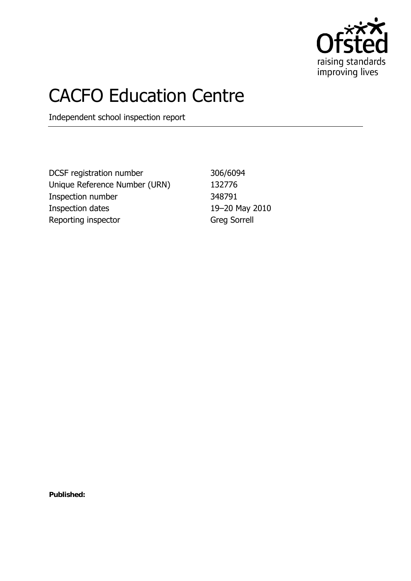

# CACFO Education Centre

Independent school inspection report

DCSF registration number 306/6094 Unique Reference Number (URN) 132776 Inspection number 348791 Inspection dates 19–20 May 2010 Reporting inspector Greg Sorrell

**Published:**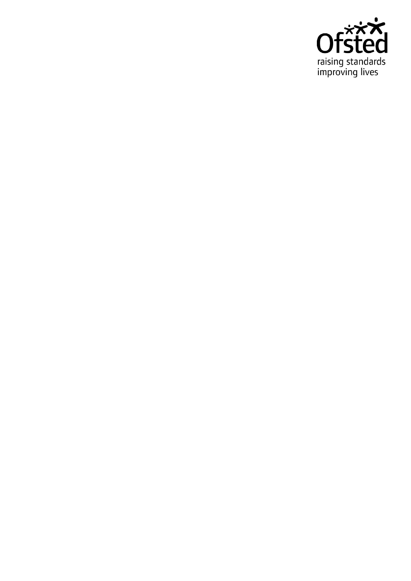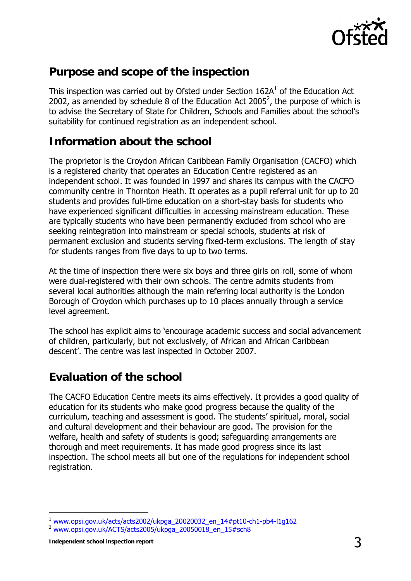

## **Purpose and scope of the inspection**

This inspection was carried out by Ofsted under Section  $162A<sup>1</sup>$  of the Education Act 2002, as amended by schedule 8 of the Education Act 2005<sup>2</sup>, the purpose of which is to advise the Secretary of State for Children, Schools and Families about the school's suitability for continued registration as an independent school.

## **Information about the school**

The proprietor is the Croydon African Caribbean Family Organisation (CACFO) which is a registered charity that operates an Education Centre registered as an independent school. It was founded in 1997 and shares its campus with the CACFO community centre in Thornton Heath. It operates as a pupil referral unit for up to 20 students and provides full-time education on a short-stay basis for students who have experienced significant difficulties in accessing mainstream education. These are typically students who have been permanently excluded from school who are seeking reintegration into mainstream or special schools, students at risk of permanent exclusion and students serving fixed-term exclusions. The length of stay for students ranges from five days to up to two terms.

At the time of inspection there were six boys and three girls on roll, some of whom were dual-registered with their own schools. The centre admits students from several local authorities although the main referring local authority is the London Borough of Croydon which purchases up to 10 places annually through a service level agreement.

The school has explicit aims to 'encourage academic success and social advancement of children, particularly, but not exclusively, of African and African Caribbean descent'. The centre was last inspected in October 2007.

## **Evaluation of the school**

The CACFO Education Centre meets its aims effectively. It provides a good quality of education for its students who make good progress because the quality of the curriculum, teaching and assessment is good. The students' spiritual, moral, social and cultural development and their behaviour are good. The provision for the welfare, health and safety of students is good; safeguarding arrangements are thorough and meet requirements. It has made good progress since its last inspection. The school meets all but one of the regulations for independent school registration.

-

<sup>1</sup> www.opsi.gov.uk/acts/acts2002/ukpga\_20020032\_en\_14#pt10-ch1-pb4-l1g162

<sup>2</sup> www.opsi.gov.uk/ACTS/acts2005/ukpga\_20050018\_en\_15#sch8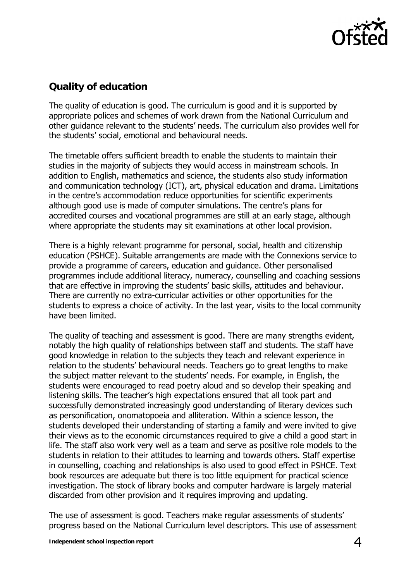

## **Quality of education**

The quality of education is good. The curriculum is good and it is supported by appropriate polices and schemes of work drawn from the National Curriculum and other guidance relevant to the students' needs. The curriculum also provides well for the students' social, emotional and behavioural needs.

The timetable offers sufficient breadth to enable the students to maintain their studies in the majority of subjects they would access in mainstream schools. In addition to English, mathematics and science, the students also study information and communication technology (ICT), art, physical education and drama. Limitations in the centre's accommodation reduce opportunities for scientific experiments although good use is made of computer simulations. The centre's plans for accredited courses and vocational programmes are still at an early stage, although where appropriate the students may sit examinations at other local provision.

There is a highly relevant programme for personal, social, health and citizenship education (PSHCE). Suitable arrangements are made with the Connexions service to provide a programme of careers, education and guidance. Other personalised programmes include additional literacy, numeracy, counselling and coaching sessions that are effective in improving the students' basic skills, attitudes and behaviour. There are currently no extra-curricular activities or other opportunities for the students to express a choice of activity. In the last year, visits to the local community have been limited.

The quality of teaching and assessment is good. There are many strengths evident, notably the high quality of relationships between staff and students. The staff have good knowledge in relation to the subjects they teach and relevant experience in relation to the students' behavioural needs. Teachers go to great lengths to make the subject matter relevant to the students' needs. For example, in English, the students were encouraged to read poetry aloud and so develop their speaking and listening skills. The teacher's high expectations ensured that all took part and successfully demonstrated increasingly good understanding of literary devices such as personification, onomatopoeia and alliteration. Within a science lesson, the students developed their understanding of starting a family and were invited to give their views as to the economic circumstances required to give a child a good start in life. The staff also work very well as a team and serve as positive role models to the students in relation to their attitudes to learning and towards others. Staff expertise in counselling, coaching and relationships is also used to good effect in PSHCE. Text book resources are adequate but there is too little equipment for practical science investigation. The stock of library books and computer hardware is largely material discarded from other provision and it requires improving and updating.

The use of assessment is good. Teachers make regular assessments of students' progress based on the National Curriculum level descriptors. This use of assessment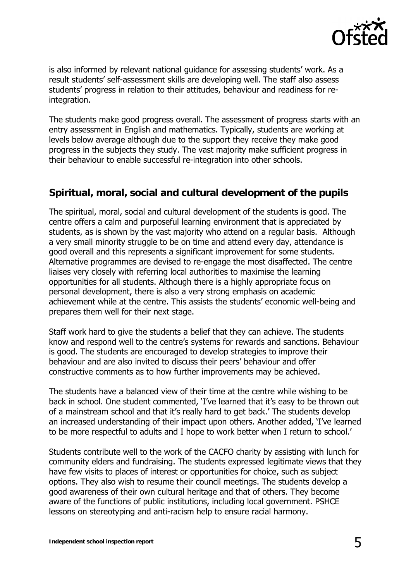

is also informed by relevant national guidance for assessing students' work. As a result students' self-assessment skills are developing well. The staff also assess students' progress in relation to their attitudes, behaviour and readiness for reintegration.

The students make good progress overall. The assessment of progress starts with an entry assessment in English and mathematics. Typically, students are working at levels below average although due to the support they receive they make good progress in the subjects they study. The vast majority make sufficient progress in their behaviour to enable successful re-integration into other schools.

#### **Spiritual, moral, social and cultural development of the pupils**

The spiritual, moral, social and cultural development of the students is good. The centre offers a calm and purposeful learning environment that is appreciated by students, as is shown by the vast majority who attend on a regular basis. Although a very small minority struggle to be on time and attend every day, attendance is good overall and this represents a significant improvement for some students. Alternative programmes are devised to re-engage the most disaffected. The centre liaises very closely with referring local authorities to maximise the learning opportunities for all students. Although there is a highly appropriate focus on personal development, there is also a very strong emphasis on academic achievement while at the centre. This assists the students' economic well-being and prepares them well for their next stage.

Staff work hard to give the students a belief that they can achieve. The students know and respond well to the centre's systems for rewards and sanctions. Behaviour is good. The students are encouraged to develop strategies to improve their behaviour and are also invited to discuss their peers' behaviour and offer constructive comments as to how further improvements may be achieved.

The students have a balanced view of their time at the centre while wishing to be back in school. One student commented, 'I've learned that it's easy to be thrown out of a mainstream school and that it's really hard to get back.' The students develop an increased understanding of their impact upon others. Another added, 'I've learned to be more respectful to adults and I hope to work better when I return to school.'

Students contribute well to the work of the CACFO charity by assisting with lunch for community elders and fundraising. The students expressed legitimate views that they have few visits to places of interest or opportunities for choice, such as subject options. They also wish to resume their council meetings. The students develop a good awareness of their own cultural heritage and that of others. They become aware of the functions of public institutions, including local government. PSHCE lessons on stereotyping and anti-racism help to ensure racial harmony.

**Independent school inspection report** 5 and 5 and 5 and 5 and 5 and 5 and 5 and 5 and 5 and 5 and 5 and 5 and 5 and 5 and 5 and 5 and 5 and 5 and 5 and 5 and 5 and 5 and 5 and 5 and 5 and 5 and 5 and 5 and 5 and 5 and 5 a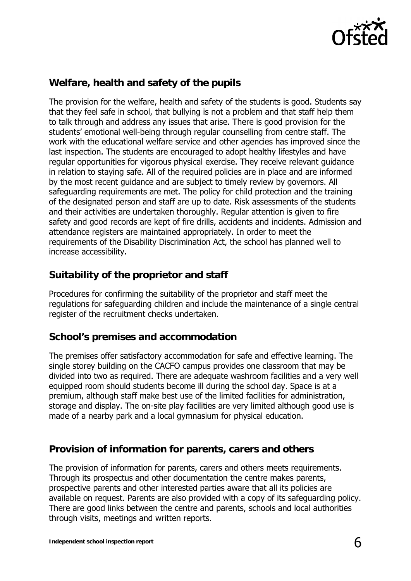

#### **Welfare, health and safety of the pupils**

The provision for the welfare, health and safety of the students is good. Students say that they feel safe in school, that bullying is not a problem and that staff help them to talk through and address any issues that arise. There is good provision for the students' emotional well-being through regular counselling from centre staff. The work with the educational welfare service and other agencies has improved since the last inspection. The students are encouraged to adopt healthy lifestyles and have regular opportunities for vigorous physical exercise. They receive relevant guidance in relation to staying safe. All of the required policies are in place and are informed by the most recent guidance and are subject to timely review by governors. All safeguarding requirements are met. The policy for child protection and the training of the designated person and staff are up to date. Risk assessments of the students and their activities are undertaken thoroughly. Regular attention is given to fire safety and good records are kept of fire drills, accidents and incidents. Admission and attendance registers are maintained appropriately. In order to meet the requirements of the Disability Discrimination Act, the school has planned well to increase accessibility.

#### **Suitability of the proprietor and staff**

Procedures for confirming the suitability of the proprietor and staff meet the regulations for safeguarding children and include the maintenance of a single central register of the recruitment checks undertaken.

#### **School's premises and accommodation**

The premises offer satisfactory accommodation for safe and effective learning. The single storey building on the CACFO campus provides one classroom that may be divided into two as required. There are adequate washroom facilities and a very well equipped room should students become ill during the school day. Space is at a premium, although staff make best use of the limited facilities for administration, storage and display. The on-site play facilities are very limited although good use is made of a nearby park and a local gymnasium for physical education.

#### **Provision of information for parents, carers and others**

The provision of information for parents, carers and others meets requirements. Through its prospectus and other documentation the centre makes parents, prospective parents and other interested parties aware that all its policies are available on request. Parents are also provided with a copy of its safeguarding policy. There are good links between the centre and parents, schools and local authorities through visits, meetings and written reports.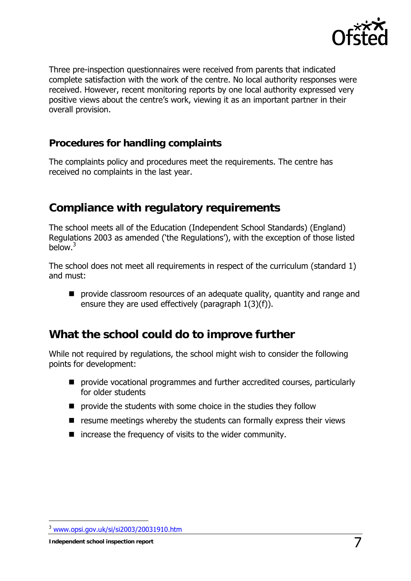

Three pre-inspection questionnaires were received from parents that indicated complete satisfaction with the work of the centre. No local authority responses were received. However, recent monitoring reports by one local authority expressed very positive views about the centre's work, viewing it as an important partner in their overall provision.

#### **Procedures for handling complaints**

The complaints policy and procedures meet the requirements. The centre has received no complaints in the last year.

## **Compliance with regulatory requirements**

The school meets all of the Education (Independent School Standards) (England) Regulations 2003 as amended ('the Regulations'), with the exception of those listed below.<sup>3</sup>

The school does not meet all requirements in respect of the curriculum (standard 1) and must:

**P** provide classroom resources of an adequate quality, quantity and range and ensure they are used effectively (paragraph 1(3)(f)).

### **What the school could do to improve further**

While not required by regulations, the school might wish to consider the following points for development:

- **P** provide vocational programmes and further accredited courses, particularly for older students
- **P** provide the students with some choice in the studies they follow
- $\blacksquare$  resume meetings whereby the students can formally express their views
- $\blacksquare$  increase the frequency of visits to the wider community.

-

<sup>3</sup> www.opsi.gov.uk/si/si2003/20031910.htm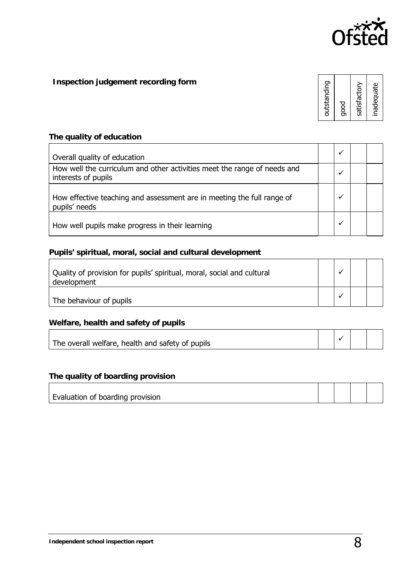

**Inspection judgement recording form**

**The quality of education**

| Overall quality of education                                                                    |  |  |
|-------------------------------------------------------------------------------------------------|--|--|
| How well the curriculum and other activities meet the range of needs and<br>interests of pupils |  |  |
| How effective teaching and assessment are in meeting the full range of<br>pupils' needs         |  |  |
| How well pupils make progress in their learning                                                 |  |  |

#### **Pupils' spiritual, moral, social and cultural development**

| Quality of provision for pupils' spiritual, moral, social and cultural<br>development |  |  |
|---------------------------------------------------------------------------------------|--|--|
| The behaviour of pupils                                                               |  |  |

**Welfare, health and safety of pupils**  $\Gamma$ 

| The overall welfare, health and safety of pupils |  |  |
|--------------------------------------------------|--|--|

**The quality of boarding provision** 

| Evaluation of boarding provision |  |  |
|----------------------------------|--|--|